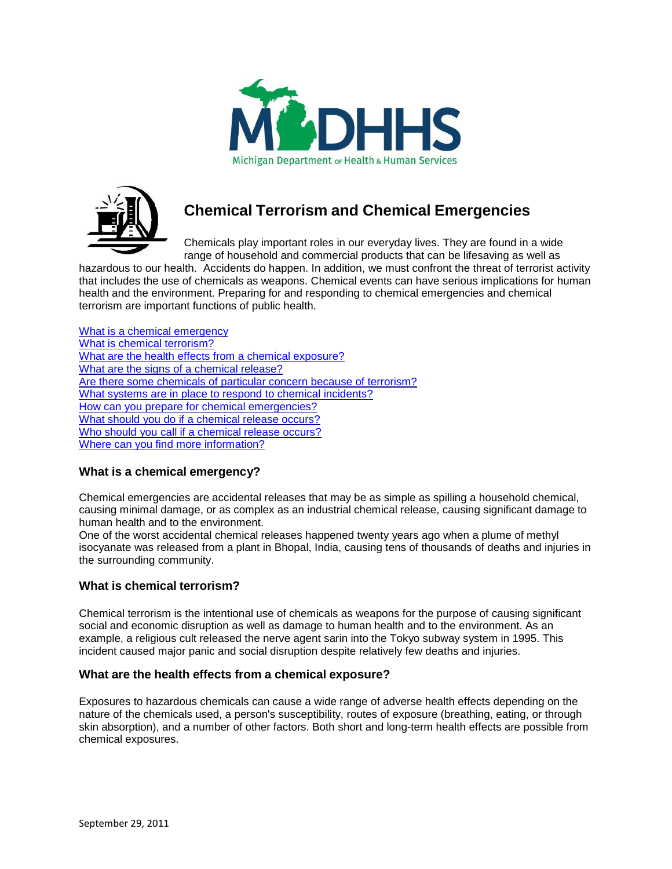



# **Chemical Terrorism and Chemical Emergencies**

Chemicals play important roles in our everyday lives. They are found in a wide range of household and commercial products that can be lifesaving as well as

hazardous to our health. Accidents do happen. In addition, we must confront the threat of terrorist activity that includes the use of chemicals as weapons. Chemical events can have serious implications for human health and the environment. Preparing for and responding to chemical emergencies and chemical terrorism are important functions of public health.

What is a [chemical emergency](#page-0-0) What is [chemical terrorism?](#page-0-1) What are the [health effects from a chemical exposure?](#page-0-2) What are the [signs of a chemical](#page-1-0) release? Are there some chemicals of particular [concern because of terrorism?](#page-1-1) [What systems are in place](#page-3-0) to respond to chemical incidents? [How can you prepare for chemical emergencies?](#page-4-0) [What should you do if a chemical](#page-4-1) release occurs? Who [should you call if a chemical](#page-5-0) release occurs? Where [can you find more information?](#page-5-1)

# <span id="page-0-0"></span>**What is a chemical emergency?**

Chemical emergencies are accidental releases that may be as simple as spilling a household chemical, causing minimal damage, or as complex as an industrial chemical release, causing significant damage to human health and to the environment.

One of the worst accidental chemical releases happened twenty years ago when a plume of methyl isocyanate was released from a plant in Bhopal, India, causing tens of thousands of deaths and injuries in the surrounding community.

# <span id="page-0-1"></span>**What is chemical terrorism?**

Chemical terrorism is the intentional use of chemicals as weapons for the purpose of causing significant social and economic disruption as well as damage to human health and to the environment. As an example, a religious cult released the nerve agent sarin into the Tokyo subway system in 1995. This incident caused major panic and social disruption despite relatively few deaths and injuries.

## <span id="page-0-2"></span>**What are the health effects from a chemical exposure?**

Exposures to hazardous chemicals can cause a wide range of adverse health effects depending on the nature of the chemicals used, a person's susceptibility, routes of exposure (breathing, eating, or through skin absorption), and a number of other factors. Both short and long-term health effects are possible from chemical exposures.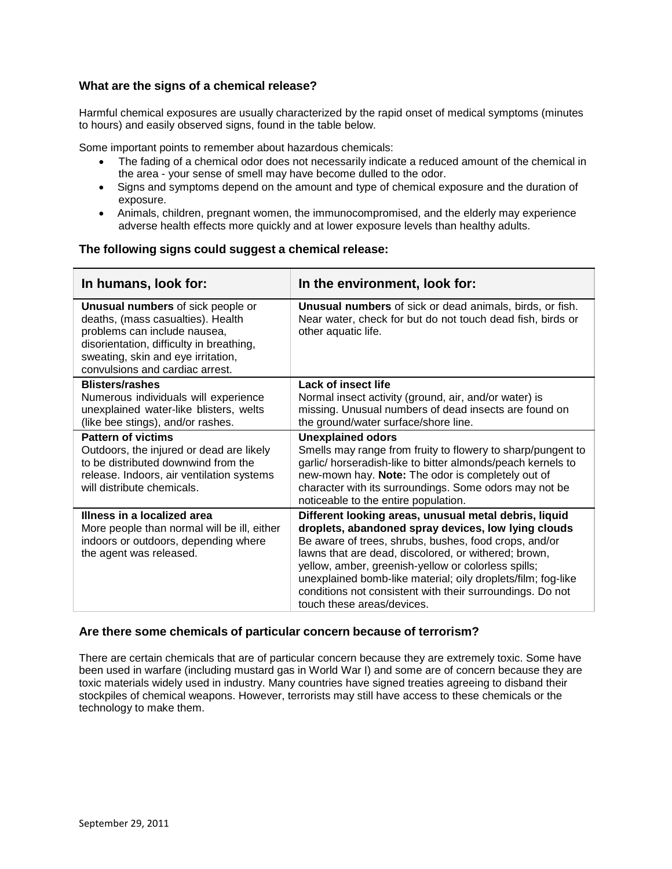## <span id="page-1-0"></span>**What are the signs of a chemical release?**

Harmful chemical exposures are usually characterized by the rapid onset of medical symptoms (minutes to hours) and easily observed signs, found in the table below.

Some important points to remember about hazardous chemicals:

- The fading of a chemical odor does not necessarily indicate a reduced amount of the chemical in the area - your sense of smell may have become dulled to the odor.
- Signs and symptoms depend on the amount and type of chemical exposure and the duration of exposure.
- Animals, children, pregnant women, the immunocompromised, and the elderly may experience adverse health effects more quickly and at lower exposure levels than healthy adults.

#### **The following signs could suggest a chemical release:**

| In the environment, look for:                                                                                                                           |
|---------------------------------------------------------------------------------------------------------------------------------------------------------|
| <b>Unusual numbers</b> of sick or dead animals, birds, or fish.<br>Near water, check for but do not touch dead fish, birds or<br>other aquatic life.    |
| Lack of insect life                                                                                                                                     |
| Normal insect activity (ground, air, and/or water) is<br>missing. Unusual numbers of dead insects are found on<br>the ground/water surface/shore line.  |
| <b>Unexplained odors</b>                                                                                                                                |
| Smells may range from fruity to flowery to sharp/pungent to<br>garlic/ horseradish-like to bitter almonds/peach kernels to                              |
| new-mown hay. Note: The odor is completely out of                                                                                                       |
| character with its surroundings. Some odors may not be<br>noticeable to the entire population.                                                          |
| Different looking areas, unusual metal debris, liquid                                                                                                   |
| droplets, abandoned spray devices, low lying clouds<br>Be aware of trees, shrubs, bushes, food crops, and/or                                            |
| lawns that are dead, discolored, or withered; brown,                                                                                                    |
| yellow, amber, greenish-yellow or colorless spills;                                                                                                     |
| unexplained bomb-like material; oily droplets/film; fog-like<br>conditions not consistent with their surroundings. Do not<br>touch these areas/devices. |
|                                                                                                                                                         |

## <span id="page-1-1"></span>**Are there some chemicals of particular concern because of terrorism?**

There are certain chemicals that are of particular concern because they are extremely toxic. Some have been used in warfare (including mustard gas in World War I) and some are of concern because they are toxic materials widely used in industry. Many countries have signed treaties agreeing to disband their stockpiles of chemical weapons. However, terrorists may still have access to these chemicals or the technology to make them.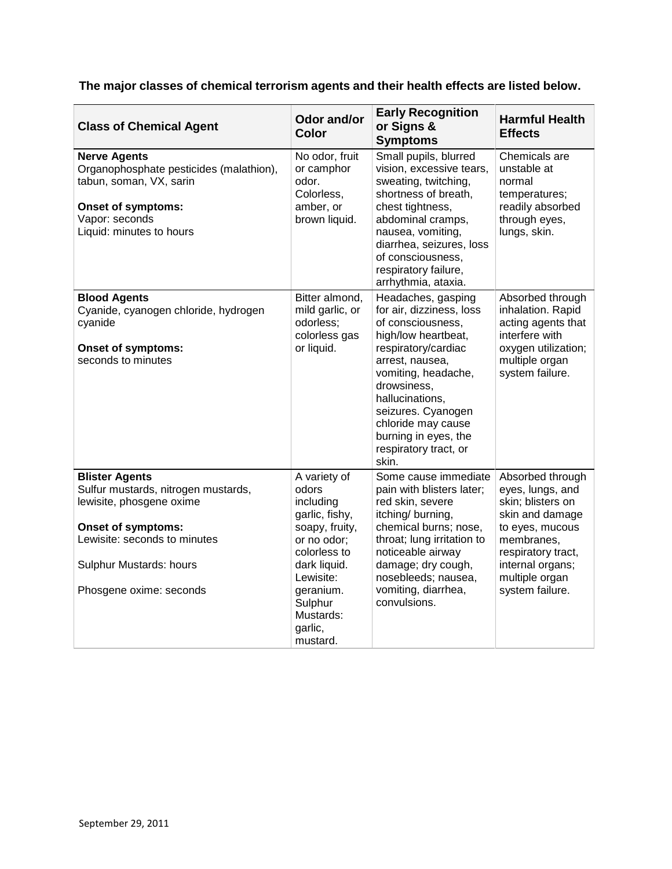**The major classes of chemical terrorism agents and their health effects are listed below.**

| <b>Class of Chemical Agent</b>                                                                                                                                                                       | Odor and/or<br><b>Color</b>                                                                                                                                                                    | <b>Early Recognition</b><br>or Signs &<br><b>Symptoms</b>                                                                                                                                                                                                                                           | <b>Harmful Health</b><br><b>Effects</b>                                                                                                                                                      |
|------------------------------------------------------------------------------------------------------------------------------------------------------------------------------------------------------|------------------------------------------------------------------------------------------------------------------------------------------------------------------------------------------------|-----------------------------------------------------------------------------------------------------------------------------------------------------------------------------------------------------------------------------------------------------------------------------------------------------|----------------------------------------------------------------------------------------------------------------------------------------------------------------------------------------------|
| <b>Nerve Agents</b><br>Organophosphate pesticides (malathion),<br>tabun, soman, VX, sarin<br><b>Onset of symptoms:</b><br>Vapor: seconds<br>Liquid: minutes to hours                                 | No odor, fruit<br>or camphor<br>odor.<br>Colorless,<br>amber, or<br>brown liquid.                                                                                                              | Small pupils, blurred<br>vision, excessive tears,<br>sweating, twitching,<br>shortness of breath,<br>chest tightness,<br>abdominal cramps,<br>nausea, vomiting,<br>diarrhea, seizures, loss<br>of consciousness,<br>respiratory failure,<br>arrhythmia, ataxia.                                     | Chemicals are<br>unstable at<br>normal<br>temperatures;<br>readily absorbed<br>through eyes,<br>lungs, skin.                                                                                 |
| <b>Blood Agents</b><br>Cyanide, cyanogen chloride, hydrogen<br>cyanide<br><b>Onset of symptoms:</b><br>seconds to minutes                                                                            | Bitter almond,<br>mild garlic, or<br>odorless;<br>colorless gas<br>or liquid.                                                                                                                  | Headaches, gasping<br>for air, dizziness, loss<br>of consciousness,<br>high/low heartbeat,<br>respiratory/cardiac<br>arrest, nausea,<br>vomiting, headache,<br>drowsiness,<br>hallucinations,<br>seizures. Cyanogen<br>chloride may cause<br>burning in eyes, the<br>respiratory tract, or<br>skin. | Absorbed through<br>inhalation. Rapid<br>acting agents that<br>interfere with<br>oxygen utilization;<br>multiple organ<br>system failure.                                                    |
| <b>Blister Agents</b><br>Sulfur mustards, nitrogen mustards,<br>lewisite, phosgene oxime<br>Onset of symptoms:<br>Lewisite: seconds to minutes<br>Sulphur Mustards: hours<br>Phosgene oxime: seconds | A variety of<br>odors<br>including<br>garlic, fishy,<br>soapy, fruity,<br>or no odor;<br>colorless to<br>dark liquid.<br>Lewisite:<br>geranium.<br>Sulphur<br>Mustards:<br>garlic,<br>mustard. | Some cause immediate<br>pain with blisters later;<br>red skin, severe<br>itching/ burning,<br>chemical burns; nose,<br>throat; lung irritation to<br>noticeable airway<br>damage; dry cough,<br>nosebleeds; nausea,<br>vomiting, diarrhea,<br>convulsions.                                          | Absorbed through<br>eyes, lungs, and<br>skin; blisters on<br>skin and damage<br>to eyes, mucous<br>membranes,<br>respiratory tract,<br>internal organs;<br>multiple organ<br>system failure. |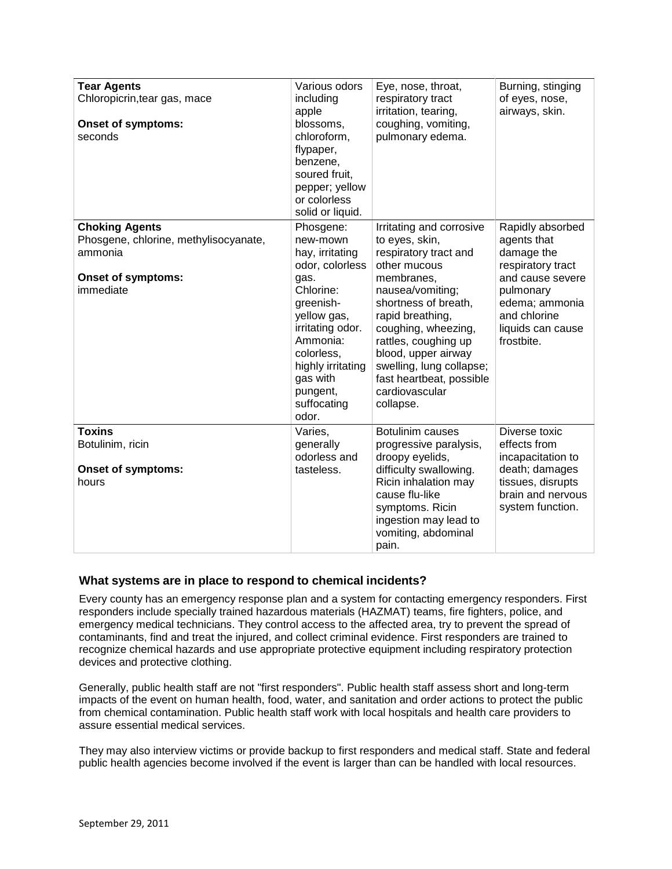| <b>Tear Agents</b><br>Chloropicrin, tear gas, mace<br><b>Onset of symptoms:</b><br>seconds                          | Various odors<br>including<br>apple<br>blossoms,<br>chloroform,<br>flypaper,<br>benzene,<br>soured fruit,<br>pepper; yellow<br>or colorless<br>solid or liquid.                                                                 | Eye, nose, throat,<br>respiratory tract<br>irritation, tearing,<br>coughing, vomiting,<br>pulmonary edema.                                                                                                                                                                                                                     | Burning, stinging<br>of eyes, nose,<br>airways, skin.                                                                                                                    |
|---------------------------------------------------------------------------------------------------------------------|---------------------------------------------------------------------------------------------------------------------------------------------------------------------------------------------------------------------------------|--------------------------------------------------------------------------------------------------------------------------------------------------------------------------------------------------------------------------------------------------------------------------------------------------------------------------------|--------------------------------------------------------------------------------------------------------------------------------------------------------------------------|
| <b>Choking Agents</b><br>Phosgene, chlorine, methylisocyanate,<br>ammonia<br><b>Onset of symptoms:</b><br>immediate | Phosgene:<br>new-mown<br>hay, irritating<br>odor, colorless<br>gas.<br>Chlorine:<br>greenish-<br>yellow gas,<br>irritating odor.<br>Ammonia:<br>colorless,<br>highly irritating<br>gas with<br>pungent,<br>suffocating<br>odor. | Irritating and corrosive<br>to eyes, skin,<br>respiratory tract and<br>other mucous<br>membranes,<br>nausea/vomiting;<br>shortness of breath,<br>rapid breathing,<br>coughing, wheezing,<br>rattles, coughing up<br>blood, upper airway<br>swelling, lung collapse;<br>fast heartbeat, possible<br>cardiovascular<br>collapse. | Rapidly absorbed<br>agents that<br>damage the<br>respiratory tract<br>and cause severe<br>pulmonary<br>edema; ammonia<br>and chlorine<br>liquids can cause<br>frostbite. |
| <b>Toxins</b><br>Botulinim, ricin<br><b>Onset of symptoms:</b><br>hours                                             | Varies,<br>generally<br>odorless and<br>tasteless.                                                                                                                                                                              | Botulinim causes<br>progressive paralysis,<br>droopy eyelids,<br>difficulty swallowing.<br>Ricin inhalation may<br>cause flu-like<br>symptoms. Ricin<br>ingestion may lead to<br>vomiting, abdominal<br>pain.                                                                                                                  | Diverse toxic<br>effects from<br>incapacitation to<br>death; damages<br>tissues, disrupts<br>brain and nervous<br>system function.                                       |

# <span id="page-3-0"></span>**What systems are in place to respond to chemical incidents?**

Every county has an emergency response plan and a system for contacting emergency responders. First responders include specially trained hazardous materials (HAZMAT) teams, fire fighters, police, and emergency medical technicians. They control access to the affected area, try to prevent the spread of contaminants, find and treat the injured, and collect criminal evidence. First responders are trained to recognize chemical hazards and use appropriate protective equipment including respiratory protection devices and protective clothing.

Generally, public health staff are not "first responders". Public health staff assess short and long-term impacts of the event on human health, food, water, and sanitation and order actions to protect the public from chemical contamination. Public health staff work with local hospitals and health care providers to assure essential medical services.

They may also interview victims or provide backup to first responders and medical staff. State and federal public health agencies become involved if the event is larger than can be handled with local resources.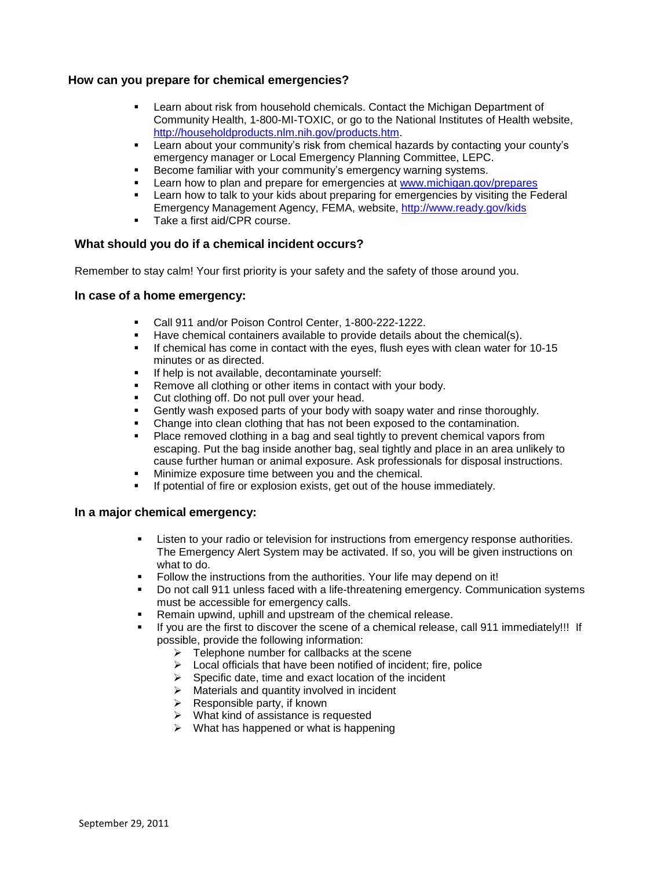#### <span id="page-4-0"></span>**How can you prepare for chemical emergencies?**

- Learn about risk from household chemicals. Contact the Michigan Department of Community Health, 1-800-MI-TOXIC, or go to the National Institutes of Health website, [http://householdproducts.nlm.nih.gov/products.htm.](http://householdproducts.nlm.nih.gov/products.htm)
- Learn about your community's risk from chemical hazards by contacting your county's emergency manager or Local Emergency Planning Committee, LEPC.
- Become familiar with your community's emergency warning systems.
- Learn how to plan and prepare for emergencies at [www.michigan.gov/prepares](http://www.michigan.gov/prepares)
- Learn how to talk to your kids about preparing for emergencies by visiting the Federal Emergency Management Agency, FEMA, website,<http://www.ready.gov/kids>
- Take a first aid/CPR course.

#### <span id="page-4-1"></span>**What should you do if a chemical incident occurs?**

Remember to stay calm! Your first priority is your safety and the safety of those around you.

#### **In case of a home emergency:**

- Call 911 and/or Poison Control Center, 1-800-222-1222.
- Have chemical containers available to provide details about the chemical(s).
- If chemical has come in contact with the eyes, flush eyes with clean water for 10-15 minutes or as directed.
- **If help is not available, decontaminate yourself:**
- Remove all clothing or other items in contact with your body.
- Cut clothing off. Do not pull over your head.
- Gently wash exposed parts of your body with soapy water and rinse thoroughly.
- Change into clean clothing that has not been exposed to the contamination.
- Place removed clothing in a bag and seal tightly to prevent chemical vapors from escaping. Put the bag inside another bag, seal tightly and place in an area unlikely to cause further human or animal exposure. Ask professionals for disposal instructions.
- Minimize exposure time between you and the chemical.
- If potential of fire or explosion exists, get out of the house immediately.

#### **In a major chemical emergency:**

- Listen to your radio or television for instructions from emergency response authorities. The Emergency Alert System may be activated. If so, you will be given instructions on what to do.
- Follow the instructions from the authorities. Your life may depend on it!
- Do not call 911 unless faced with a life-threatening emergency. Communication systems must be accessible for emergency calls.
- Remain upwind, uphill and upstream of the chemical release.
- If you are the first to discover the scene of a chemical release, call 911 immediately!!! If possible, provide the following information:
	- $\triangleright$  Telephone number for callbacks at the scene
	- $\triangleright$  Local officials that have been notified of incident; fire, police
	- $\triangleright$  Specific date, time and exact location of the incident
	- $\triangleright$  Materials and quantity involved in incident
	- $\triangleright$  Responsible party, if known
	- $\triangleright$  What kind of assistance is requested
	- $\triangleright$  What has happened or what is happening